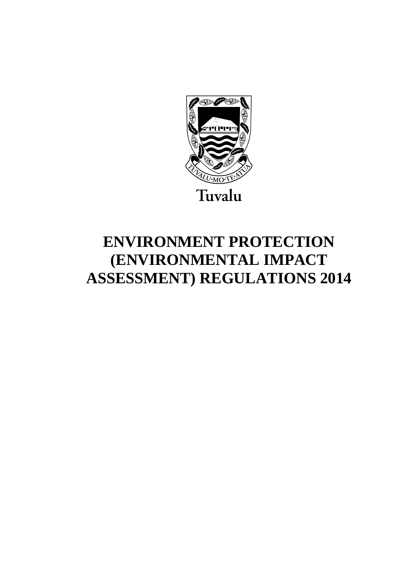

# **ENVIRONMENT PROTECTION (ENVIRONMENTAL IMPACT ASSESSMENT) REGULATIONS 2014**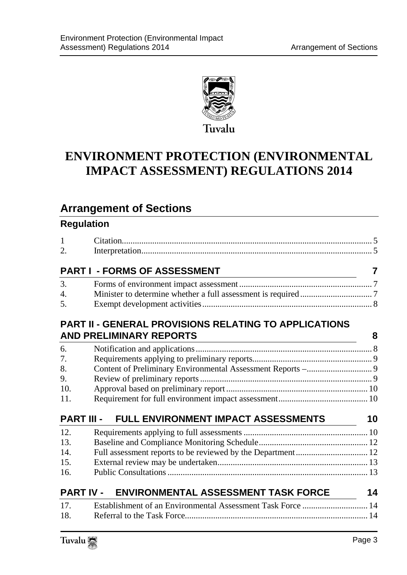

# **ENVIRONMENT PROTECTION (ENVIRONMENTAL IMPACT ASSESSMENT) REGULATIONS 2014**

# **Arrangement of Sections**

#### **Regulation**

| $\mathbf{1}$      |                                                              |    |
|-------------------|--------------------------------------------------------------|----|
| 2.                |                                                              |    |
|                   | <b>PART I - FORMS OF ASSESSMENT</b>                          | 7  |
| 3.                |                                                              |    |
| 4.                |                                                              |    |
| 5.                |                                                              |    |
|                   | <b>PART II - GENERAL PROVISIONS RELATING TO APPLICATIONS</b> |    |
|                   | <b>AND PRELIMINARY REPORTS</b>                               | 8  |
| 6.                |                                                              |    |
| 7.                |                                                              |    |
| 8.                |                                                              |    |
| 9.                |                                                              |    |
| 10.               |                                                              |    |
| 11.               |                                                              |    |
| <b>PART III -</b> | FULL ENVIRONMENT IMPACT ASSESSMENTS                          | 10 |
| 12.               |                                                              |    |
| 13.               |                                                              |    |
| 14.               |                                                              |    |
| 15.               |                                                              |    |
| 16.               |                                                              |    |
| <b>PART IV -</b>  | <b>ENVIRONMENTAL ASSESSMENT TASK FORCE</b>                   | 14 |
| 17.               |                                                              |    |
| 18.               |                                                              |    |
|                   |                                                              |    |

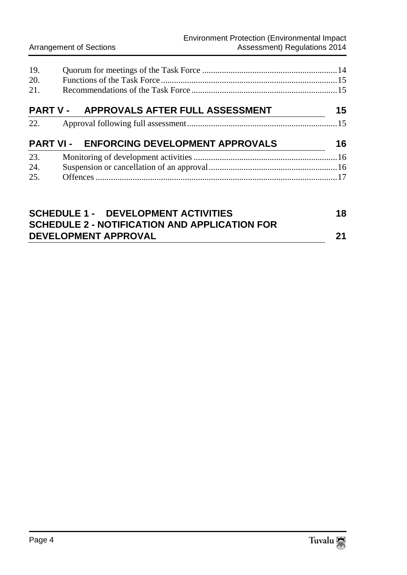| 19. |                                           |    |
|-----|-------------------------------------------|----|
| 20. |                                           |    |
| 21. |                                           |    |
|     | PART V - APPROVALS AFTER FULL ASSESSMENT  | 15 |
| 22. |                                           |    |
|     | PART VI - ENFORCING DEVELOPMENT APPROVALS | 16 |
| 23. |                                           |    |
| 24. |                                           |    |
| 25. |                                           |    |
|     |                                           |    |
|     | COUEDULE 4 DEVELODMENT ACTIVITIES         | 40 |

| <b>SCHEDULE 1 - DEVELOPMENT ACTIVITIES</b>    | 18 |
|-----------------------------------------------|----|
| SCHEDULE 2 - NOTIFICATION AND APPLICATION FOR |    |
| <b>DEVELOPMENT APPROVAL</b>                   | 21 |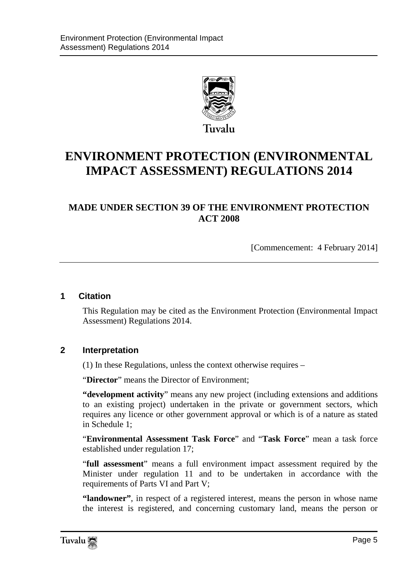

# **ENVIRONMENT PROTECTION (ENVIRONMENTAL IMPACT ASSESSMENT) REGULATIONS 2014**

#### **MADE UNDER SECTION 39 OF THE ENVIRONMENT PROTECTION ACT 2008**

[Commencement: 4 February 2014]

#### <span id="page-4-0"></span>**1 Citation**

This Regulation may be cited as the Environment Protection (Environmental Impact Assessment) Regulations 2014.

#### <span id="page-4-1"></span>**2 Interpretation**

(1) In these Regulations, unless the context otherwise requires –

"**Director**" means the Director of Environment;

**"development activity**" means any new project (including extensions and additions to an existing project) undertaken in the private or government sectors, which requires any licence or other government approval or which is of a nature as stated in Schedule 1;

"**Environmental Assessment Task Force**" and "**Task Force**" mean a task force established under regulation 17;

"**full assessment**" means a full environment impact assessment required by the Minister under regulation 11 and to be undertaken in accordance with the requirements of Parts VI and Part V;

**"landowner"**, in respect of a registered interest, means the person in whose name the interest is registered, and concerning customary land, means the person or

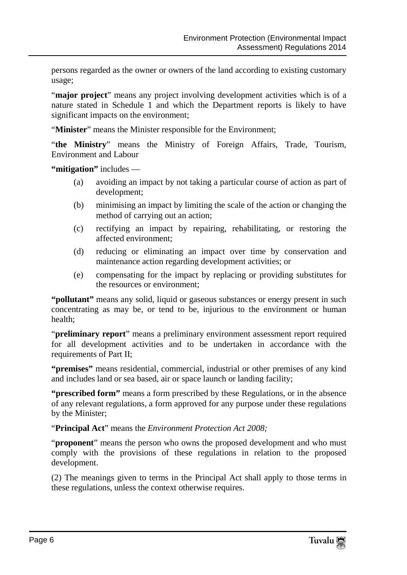persons regarded as the owner or owners of the land according to existing customary usage;

"**major project**" means any project involving development activities which is of a nature stated in Schedule 1 and which the Department reports is likely to have significant impacts on the environment;

"**Minister**" means the Minister responsible for the Environment;

"**the Ministry**" means the Ministry of Foreign Affairs, Trade, Tourism, Environment and Labour

**"mitigation"** includes —

- (a) avoiding an impact by not taking a particular course of action as part of development;
- (b) minimising an impact by limiting the scale of the action or changing the method of carrying out an action;
- (c) rectifying an impact by repairing, rehabilitating, or restoring the affected environment;
- (d) reducing or eliminating an impact over time by conservation and maintenance action regarding development activities; or
- (e) compensating for the impact by replacing or providing substitutes for the resources or environment;

**"pollutant"** means any solid, liquid or gaseous substances or energy present in such concentrating as may be, or tend to be, injurious to the environment or human health;

"**preliminary report**" means a preliminary environment assessment report required for all development activities and to be undertaken in accordance with the requirements of Part II;

**"premises"** means residential, commercial, industrial or other premises of any kind and includes land or sea based, air or space launch or landing facility;

**"prescribed form"** means a form prescribed by these Regulations, or in the absence of any relevant regulations, a form approved for any purpose under these regulations by the Minister;

"**Principal Act**" means the *Environment Protection Act 2008;*

"**proponent**" means the person who owns the proposed development and who must comply with the provisions of these regulations in relation to the proposed development.

(2) The meanings given to terms in the Principal Act shall apply to those terms in these regulations, unless the context otherwise requires.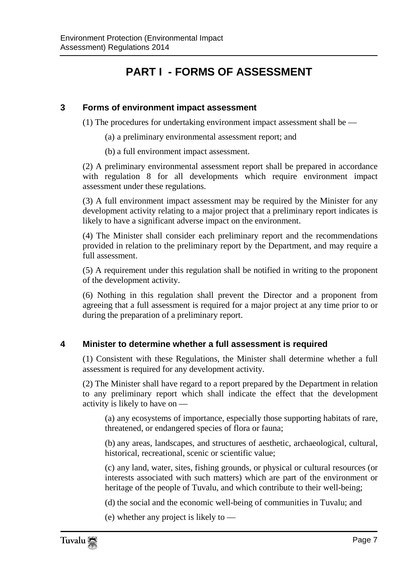## **PART I - FORMS OF ASSESSMENT**

#### <span id="page-6-1"></span><span id="page-6-0"></span>**3 Forms of environment impact assessment**

(1) The procedures for undertaking environment impact assessment shall be —

- (a) a preliminary environmental assessment report; and
- (b) a full environment impact assessment.

(2) A preliminary environmental assessment report shall be prepared in accordance with regulation 8 for all developments which require environment impact assessment under these regulations.

(3) A full environment impact assessment may be required by the Minister for any development activity relating to a major project that a preliminary report indicates is likely to have a significant adverse impact on the environment.

(4) The Minister shall consider each preliminary report and the recommendations provided in relation to the preliminary report by the Department, and may require a full assessment.

(5) A requirement under this regulation shall be notified in writing to the proponent of the development activity.

(6) Nothing in this regulation shall prevent the Director and a proponent from agreeing that a full assessment is required for a major project at any time prior to or during the preparation of a preliminary report.

#### <span id="page-6-2"></span>**4 Minister to determine whether a full assessment is required**

(1) Consistent with these Regulations, the Minister shall determine whether a full assessment is required for any development activity.

(2) The Minister shall have regard to a report prepared by the Department in relation to any preliminary report which shall indicate the effect that the development activity is likely to have on —

(a) any ecosystems of importance, especially those supporting habitats of rare, threatened, or endangered species of flora or fauna;

(b) any areas, landscapes, and structures of aesthetic, archaeological, cultural, historical, recreational, scenic or scientific value;

(c) any land, water, sites, fishing grounds, or physical or cultural resources (or interests associated with such matters) which are part of the environment or heritage of the people of Tuvalu, and which contribute to their well-being;

(d) the social and the economic well-being of communities in Tuvalu; and

(e) whether any project is likely to —

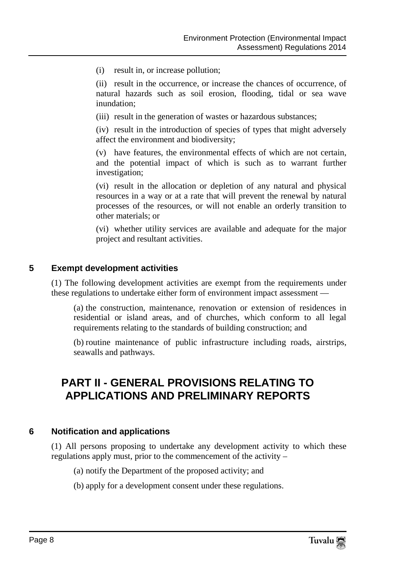(i) result in, or increase pollution;

(ii) result in the occurrence, or increase the chances of occurrence, of natural hazards such as soil erosion, flooding, tidal or sea wave inundation;

(iii) result in the generation of wastes or hazardous substances;

(iv) result in the introduction of species of types that might adversely affect the environment and biodiversity;

(v) have features, the environmental effects of which are not certain, and the potential impact of which is such as to warrant further investigation;

(vi) result in the allocation or depletion of any natural and physical resources in a way or at a rate that will prevent the renewal by natural processes of the resources, or will not enable an orderly transition to other materials; or

(vi) whether utility services are available and adequate for the major project and resultant activities.

#### <span id="page-7-0"></span>**5 Exempt development activities**

(1) The following development activities are exempt from the requirements under these regulations to undertake either form of environment impact assessment —

(a) the construction, maintenance, renovation or extension of residences in residential or island areas, and of churches, which conform to all legal requirements relating to the standards of building construction; and

(b) routine maintenance of public infrastructure including roads, airstrips, seawalls and pathways.

### <span id="page-7-1"></span>**PART II - GENERAL PROVISIONS RELATING TO APPLICATIONS AND PRELIMINARY REPORTS**

#### <span id="page-7-2"></span>**6 Notification and applications**

(1) All persons proposing to undertake any development activity to which these regulations apply must, prior to the commencement of the activity –

- (a) notify the Department of the proposed activity; and
- (b) apply for a development consent under these regulations.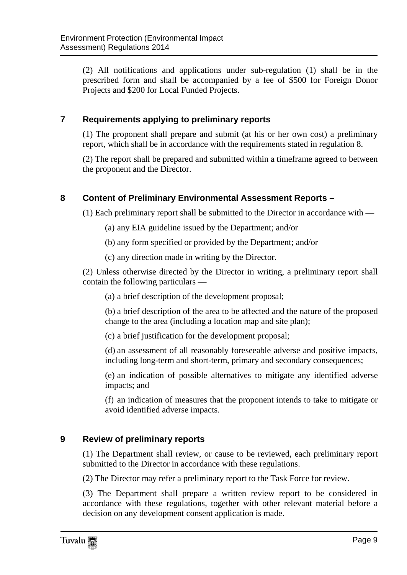(2) All notifications and applications under sub-regulation (1) shall be in the prescribed form and shall be accompanied by a fee of \$500 for Foreign Donor Projects and \$200 for Local Funded Projects.

#### <span id="page-8-0"></span>**7 Requirements applying to preliminary reports**

(1) The proponent shall prepare and submit (at his or her own cost) a preliminary report, which shall be in accordance with the requirements stated in regulation 8.

(2) The report shall be prepared and submitted within a timeframe agreed to between the proponent and the Director.

#### <span id="page-8-1"></span>**8 Content of Preliminary Environmental Assessment Reports –**

(1) Each preliminary report shall be submitted to the Director in accordance with —

- (a) any EIA guideline issued by the Department; and/or
- (b) any form specified or provided by the Department; and/or
- (c) any direction made in writing by the Director.

(2) Unless otherwise directed by the Director in writing, a preliminary report shall contain the following particulars —

(a) a brief description of the development proposal;

(b) a brief description of the area to be affected and the nature of the proposed change to the area (including a location map and site plan);

(c) a brief justification for the development proposal;

(d) an assessment of all reasonably foreseeable adverse and positive impacts, including long-term and short-term, primary and secondary consequences;

(e) an indication of possible alternatives to mitigate any identified adverse impacts; and

(f) an indication of measures that the proponent intends to take to mitigate or avoid identified adverse impacts.

#### <span id="page-8-2"></span>**9 Review of preliminary reports**

(1) The Department shall review, or cause to be reviewed, each preliminary report submitted to the Director in accordance with these regulations.

(2) The Director may refer a preliminary report to the Task Force for review.

(3) The Department shall prepare a written review report to be considered in accordance with these regulations, together with other relevant material before a decision on any development consent application is made.

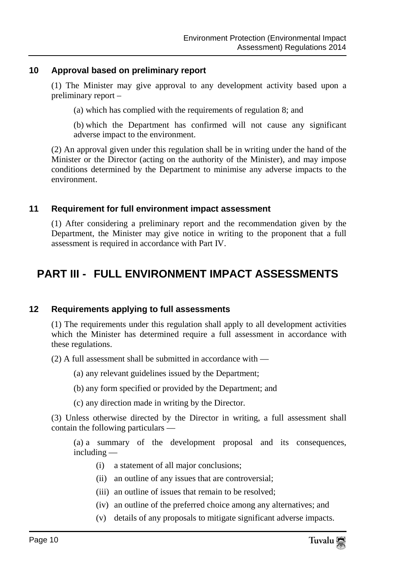#### <span id="page-9-0"></span>**10 Approval based on preliminary report**

(1) The Minister may give approval to any development activity based upon a preliminary report –

(a) which has complied with the requirements of regulation 8; and

(b) which the Department has confirmed will not cause any significant adverse impact to the environment.

(2) An approval given under this regulation shall be in writing under the hand of the Minister or the Director (acting on the authority of the Minister), and may impose conditions determined by the Department to minimise any adverse impacts to the environment.

#### <span id="page-9-1"></span>**11 Requirement for full environment impact assessment**

(1) After considering a preliminary report and the recommendation given by the Department, the Minister may give notice in writing to the proponent that a full assessment is required in accordance with Part IV.

### <span id="page-9-3"></span><span id="page-9-2"></span>**PART III - FULL ENVIRONMENT IMPACT ASSESSMENTS**

#### **12 Requirements applying to full assessments**

(1) The requirements under this regulation shall apply to all development activities which the Minister has determined require a full assessment in accordance with these regulations.

(2) A full assessment shall be submitted in accordance with —

- (a) any relevant guidelines issued by the Department;
- (b) any form specified or provided by the Department; and
- (c) any direction made in writing by the Director.

(3) Unless otherwise directed by the Director in writing, a full assessment shall contain the following particulars —

(a) a summary of the development proposal and its consequences, including —

- (i) a statement of all major conclusions;
- (ii) an outline of any issues that are controversial;
- (iii) an outline of issues that remain to be resolved;
- (iv) an outline of the preferred choice among any alternatives; and
- (v) details of any proposals to mitigate significant adverse impacts.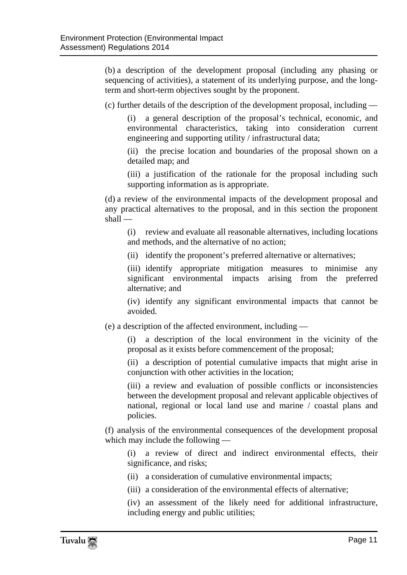(b) a description of the development proposal (including any phasing or sequencing of activities), a statement of its underlying purpose, and the longterm and short-term objectives sought by the proponent.

(c) further details of the description of the development proposal, including —

(i) a general description of the proposal's technical, economic, and environmental characteristics, taking into consideration current engineering and supporting utility / infrastructural data;

(ii) the precise location and boundaries of the proposal shown on a detailed map; and

(iii) a justification of the rationale for the proposal including such supporting information as is appropriate.

(d) a review of the environmental impacts of the development proposal and any practical alternatives to the proposal, and in this section the proponent shall —

(i) review and evaluate all reasonable alternatives, including locations and methods, and the alternative of no action;

(ii) identify the proponent's preferred alternative or alternatives;

(iii) identify appropriate mitigation measures to minimise any significant environmental impacts arising from the preferred alternative; and

(iv) identify any significant environmental impacts that cannot be avoided.

(e) a description of the affected environment, including —

(i) a description of the local environment in the vicinity of the proposal as it exists before commencement of the proposal;

(ii) a description of potential cumulative impacts that might arise in conjunction with other activities in the location;

(iii) a review and evaluation of possible conflicts or inconsistencies between the development proposal and relevant applicable objectives of national, regional or local land use and marine / coastal plans and policies.

(f) analysis of the environmental consequences of the development proposal which may include the following —

(i) a review of direct and indirect environmental effects, their significance, and risks;

- (ii) a consideration of cumulative environmental impacts;
- (iii) a consideration of the environmental effects of alternative;
- (iv) an assessment of the likely need for additional infrastructure, including energy and public utilities;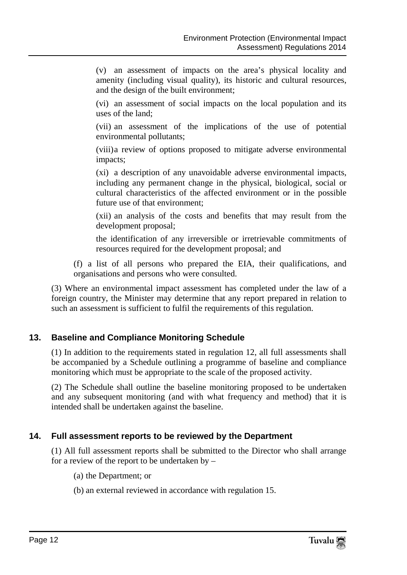(v) an assessment of impacts on the area's physical locality and amenity (including visual quality), its historic and cultural resources, and the design of the built environment;

(vi) an assessment of social impacts on the local population and its uses of the land;

(vii) an assessment of the implications of the use of potential environmental pollutants;

(viii)a review of options proposed to mitigate adverse environmental impacts;

(xi) a description of any unavoidable adverse environmental impacts, including any permanent change in the physical, biological, social or cultural characteristics of the affected environment or in the possible future use of that environment;

(xii) an analysis of the costs and benefits that may result from the development proposal;

the identification of any irreversible or irretrievable commitments of resources required for the development proposal; and

(f) a list of all persons who prepared the EIA, their qualifications, and organisations and persons who were consulted.

(3) Where an environmental impact assessment has completed under the law of a foreign country, the Minister may determine that any report prepared in relation to such an assessment is sufficient to fulfil the requirements of this regulation.

#### <span id="page-11-0"></span>**13. Baseline and Compliance Monitoring Schedule**

(1) In addition to the requirements stated in regulation 12, all full assessments shall be accompanied by a Schedule outlining a programme of baseline and compliance monitoring which must be appropriate to the scale of the proposed activity.

(2) The Schedule shall outline the baseline monitoring proposed to be undertaken and any subsequent monitoring (and with what frequency and method) that it is intended shall be undertaken against the baseline.

#### <span id="page-11-1"></span>**14. Full assessment reports to be reviewed by the Department**

(1) All full assessment reports shall be submitted to the Director who shall arrange for a review of the report to be undertaken by –

- (a) the Department; or
- (b) an external reviewed in accordance with regulation 15.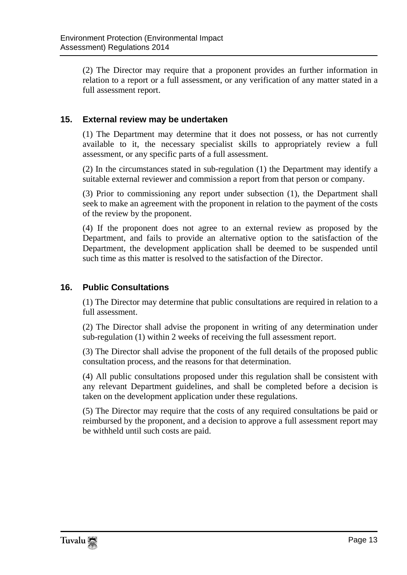(2) The Director may require that a proponent provides an further information in relation to a report or a full assessment, or any verification of any matter stated in a full assessment report.

#### <span id="page-12-0"></span>**15. External review may be undertaken**

(1) The Department may determine that it does not possess, or has not currently available to it, the necessary specialist skills to appropriately review a full assessment, or any specific parts of a full assessment.

(2) In the circumstances stated in sub-regulation (1) the Department may identify a suitable external reviewer and commission a report from that person or company.

(3) Prior to commissioning any report under subsection (1), the Department shall seek to make an agreement with the proponent in relation to the payment of the costs of the review by the proponent.

(4) If the proponent does not agree to an external review as proposed by the Department, and fails to provide an alternative option to the satisfaction of the Department, the development application shall be deemed to be suspended until such time as this matter is resolved to the satisfaction of the Director.

#### <span id="page-12-1"></span>**16. Public Consultations**

(1) The Director may determine that public consultations are required in relation to a full assessment.

(2) The Director shall advise the proponent in writing of any determination under sub-regulation (1) within 2 weeks of receiving the full assessment report.

(3) The Director shall advise the proponent of the full details of the proposed public consultation process, and the reasons for that determination.

(4) All public consultations proposed under this regulation shall be consistent with any relevant Department guidelines, and shall be completed before a decision is taken on the development application under these regulations.

(5) The Director may require that the costs of any required consultations be paid or reimbursed by the proponent, and a decision to approve a full assessment report may be withheld until such costs are paid.

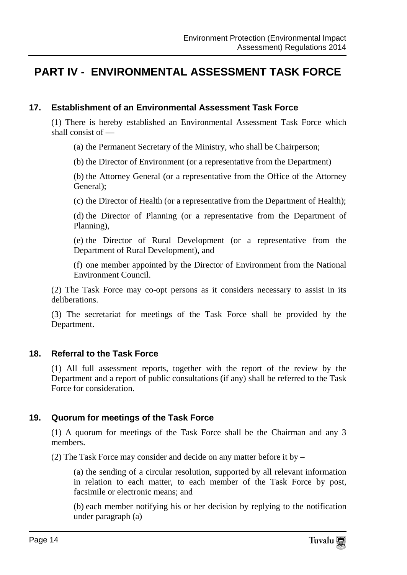### <span id="page-13-1"></span><span id="page-13-0"></span>**PART IV - ENVIRONMENTAL ASSESSMENT TASK FORCE**

#### **17. Establishment of an Environmental Assessment Task Force**

(1) There is hereby established an Environmental Assessment Task Force which shall consist of —

(a) the Permanent Secretary of the Ministry, who shall be Chairperson;

(b) the Director of Environment (or a representative from the Department)

(b) the Attorney General (or a representative from the Office of the Attorney General);

(c) the Director of Health (or a representative from the Department of Health);

(d) the Director of Planning (or a representative from the Department of Planning),

(e) the Director of Rural Development (or a representative from the Department of Rural Development), and

(f) one member appointed by the Director of Environment from the National Environment Council.

(2) The Task Force may co-opt persons as it considers necessary to assist in its deliberations.

(3) The secretariat for meetings of the Task Force shall be provided by the Department.

#### <span id="page-13-2"></span>**18. Referral to the Task Force**

(1) All full assessment reports, together with the report of the review by the Department and a report of public consultations (if any) shall be referred to the Task Force for consideration.

#### <span id="page-13-3"></span>**19. Quorum for meetings of the Task Force**

(1) A quorum for meetings of the Task Force shall be the Chairman and any 3 members.

(2) The Task Force may consider and decide on any matter before it by –

(a) the sending of a circular resolution, supported by all relevant information in relation to each matter, to each member of the Task Force by post, facsimile or electronic means; and

(b) each member notifying his or her decision by replying to the notification under paragraph (a)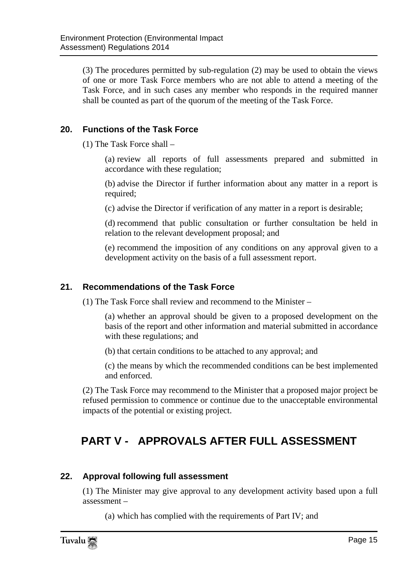(3) The procedures permitted by sub-regulation (2) may be used to obtain the views of one or more Task Force members who are not able to attend a meeting of the Task Force, and in such cases any member who responds in the required manner shall be counted as part of the quorum of the meeting of the Task Force.

#### <span id="page-14-0"></span>**20. Functions of the Task Force**

(1) The Task Force shall –

(a) review all reports of full assessments prepared and submitted in accordance with these regulation;

(b) advise the Director if further information about any matter in a report is required;

(c) advise the Director if verification of any matter in a report is desirable;

(d) recommend that public consultation or further consultation be held in relation to the relevant development proposal; and

(e) recommend the imposition of any conditions on any approval given to a development activity on the basis of a full assessment report.

#### <span id="page-14-1"></span>**21. Recommendations of the Task Force**

(1) The Task Force shall review and recommend to the Minister –

(a) whether an approval should be given to a proposed development on the basis of the report and other information and material submitted in accordance with these regulations; and

(b) that certain conditions to be attached to any approval; and

(c) the means by which the recommended conditions can be best implemented and enforced.

(2) The Task Force may recommend to the Minister that a proposed major project be refused permission to commence or continue due to the unacceptable environmental impacts of the potential or existing project.

### <span id="page-14-2"></span>**PART V - APPROVALS AFTER FULL ASSESSMENT**

#### <span id="page-14-3"></span>**22. Approval following full assessment**

(1) The Minister may give approval to any development activity based upon a full assessment –

(a) which has complied with the requirements of Part IV; and

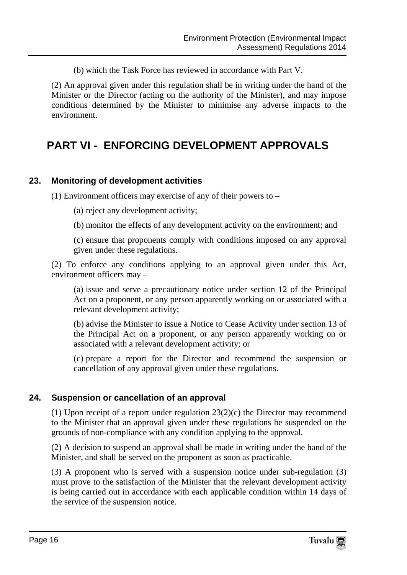(b) which the Task Force has reviewed in accordance with Part V.

(2) An approval given under this regulation shall be in writing under the hand of the Minister or the Director (acting on the authority of the Minister), and may impose conditions determined by the Minister to minimise any adverse impacts to the environment.

### <span id="page-15-0"></span>**PART VI - ENFORCING DEVELOPMENT APPROVALS**

#### <span id="page-15-1"></span>**23. Monitoring of development activities**

(1) Environment officers may exercise of any of their powers to –

- (a) reject any development activity;
- (b) monitor the effects of any development activity on the environment; and

(c) ensure that proponents comply with conditions imposed on any approval given under these regulations.

(2) To enforce any conditions applying to an approval given under this Act, environment officers may –

(a) issue and serve a precautionary notice under section 12 of the Principal Act on a proponent, or any person apparently working on or associated with a relevant development activity;

(b) advise the Minister to issue a Notice to Cease Activity under section 13 of the Principal Act on a proponent, or any person apparently working on or associated with a relevant development activity; or

(c) prepare a report for the Director and recommend the suspension or cancellation of any approval given under these regulations.

#### <span id="page-15-2"></span>**24. Suspension or cancellation of an approval**

(1) Upon receipt of a report under regulation 23(2)(c) the Director may recommend to the Minister that an approval given under these regulations be suspended on the grounds of non-compliance with any condition applying to the approval.

(2) A decision to suspend an approval shall be made in writing under the hand of the Minister, and shall be served on the proponent as soon as practicable.

(3) A proponent who is served with a suspension notice under sub-regulation (3) must prove to the satisfaction of the Minister that the relevant development activity is being carried out in accordance with each applicable condition within 14 days of the service of the suspension notice.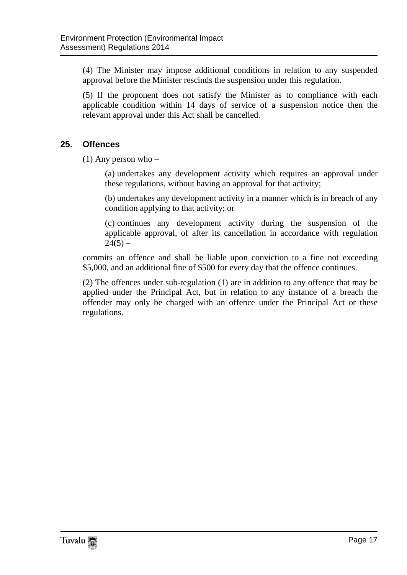(4) The Minister may impose additional conditions in relation to any suspended approval before the Minister rescinds the suspension under this regulation.

(5) If the proponent does not satisfy the Minister as to compliance with each applicable condition within 14 days of service of a suspension notice then the relevant approval under this Act shall be cancelled.

#### <span id="page-16-0"></span>**25. Offences**

(1) Any person who –

(a) undertakes any development activity which requires an approval under these regulations, without having an approval for that activity;

(b) undertakes any development activity in a manner which is in breach of any condition applying to that activity; or

(c) continues any development activity during the suspension of the applicable approval, of after its cancellation in accordance with regulation  $24(5)$  –

commits an offence and shall be liable upon conviction to a fine not exceeding \$5,000, and an additional fine of \$500 for every day that the offence continues.

(2) The offences under sub-regulation (1) are in addition to any offence that may be applied under the Principal Act, but in relation to any instance of a breach the offender may only be charged with an offence under the Principal Act or these regulations.

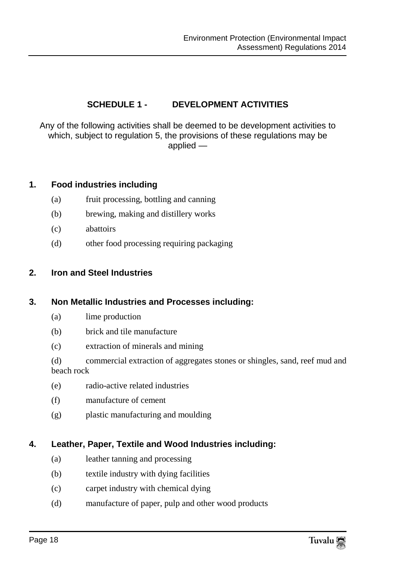#### **SCHEDULE 1 - DEVELOPMENT ACTIVITIES**

<span id="page-17-0"></span>Any of the following activities shall be deemed to be development activities to which, subject to regulation 5, the provisions of these regulations may be applied —

#### **1. Food industries including**

- (a) fruit processing, bottling and canning
- (b) brewing, making and distillery works
- (c) abattoirs
- (d) other food processing requiring packaging

#### **2. Iron and Steel Industries**

#### **3. Non Metallic Industries and Processes including:**

- (a) lime production
- (b) brick and tile manufacture
- (c) extraction of minerals and mining
- (d) commercial extraction of aggregates stones or shingles, sand, reef mud and beach rock
- (e) radio-active related industries
- (f) manufacture of cement
- (g) plastic manufacturing and moulding

#### **4. Leather, Paper, Textile and Wood Industries including:**

- (a) leather tanning and processing
- (b) textile industry with dying facilities
- (c) carpet industry with chemical dying
- (d) manufacture of paper, pulp and other wood products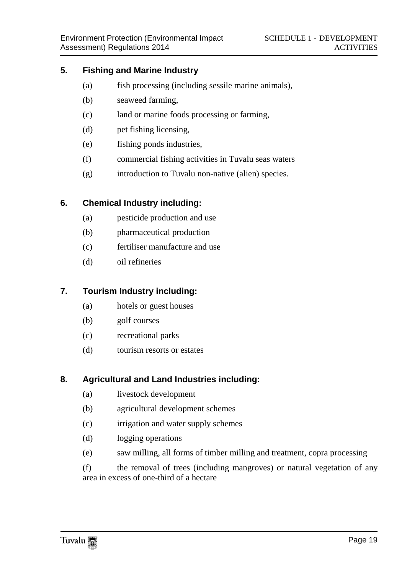#### **5. Fishing and Marine Industry**

- (a) fish processing (including sessile marine animals),
- (b) seaweed farming,
- (c) land or marine foods processing or farming,
- (d) pet fishing licensing,
- (e) fishing ponds industries,
- (f) commercial fishing activities in Tuvalu seas waters
- (g) introduction to Tuvalu non-native (alien) species.

#### **6. Chemical Industry including:**

- (a) pesticide production and use
- (b) pharmaceutical production
- (c) fertiliser manufacture and use
- (d) oil refineries

#### **7. Tourism Industry including:**

- (a) hotels or guest houses
- (b) golf courses
- (c) recreational parks
- (d) tourism resorts or estates

#### **8. Agricultural and Land Industries including:**

- (a) livestock development
- (b) agricultural development schemes
- (c) irrigation and water supply schemes
- (d) logging operations
- (e) saw milling, all forms of timber milling and treatment, copra processing

(f) the removal of trees (including mangroves) or natural vegetation of any area in excess of one-third of a hectare

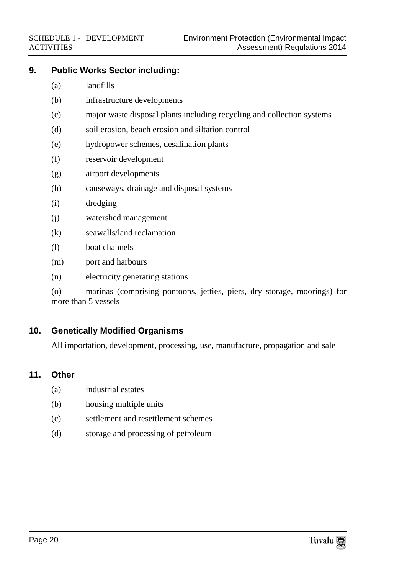#### **9. Public Works Sector including:**

- (a) landfills
- (b) infrastructure developments
- (c) major waste disposal plants including recycling and collection systems
- (d) soil erosion, beach erosion and siltation control
- (e) hydropower schemes, desalination plants
- (f) reservoir development
- (g) airport developments
- (h) causeways, drainage and disposal systems
- (i) dredging
- (j) watershed management
- (k) seawalls/land reclamation
- (l) boat channels
- (m) port and harbours
- (n) electricity generating stations

(o) marinas (comprising pontoons, jetties, piers, dry storage, moorings) for more than 5 vessels

#### **10. Genetically Modified Organisms**

All importation, development, processing, use, manufacture, propagation and sale

#### **11. Other**

- (a) industrial estates
- (b) housing multiple units
- (c) settlement and resettlement schemes
- (d) storage and processing of petroleum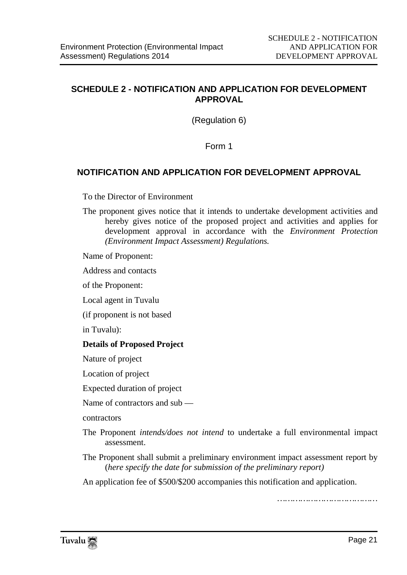#### <span id="page-20-0"></span>**SCHEDULE 2 - NOTIFICATION AND APPLICATION FOR DEVELOPMENT APPROVAL**

(Regulation 6)

Form 1

#### **NOTIFICATION AND APPLICATION FOR DEVELOPMENT APPROVAL**

To the Director of Environment

The proponent gives notice that it intends to undertake development activities and hereby gives notice of the proposed project and activities and applies for development approval in accordance with the *Environment Protection (Environment Impact Assessment) Regulations.*

Name of Proponent:

Address and contacts

of the Proponent:

Local agent in Tuvalu

(if proponent is not based

in Tuvalu):

#### **Details of Proposed Project**

Nature of project

Location of project

Expected duration of project

Name of contractors and sub —

contractors

- The Proponent *intends/does not intend* to undertake a full environmental impact assessment.
- The Proponent shall submit a preliminary environment impact assessment report by (*here specify the date for submission of the preliminary report)*

An application fee of \$500/\$200 accompanies this notification and application.